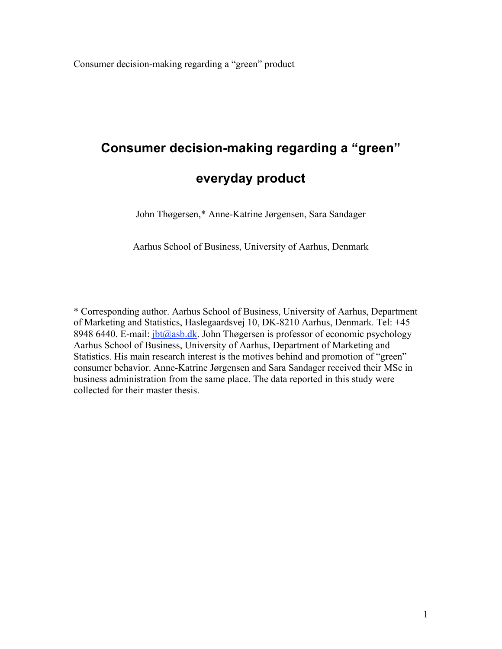Consumer decision-making regarding a "green" product

# **Consumer decision-making regarding a "green" everyday product**

John Thøgersen,\* Anne-Katrine Jørgensen, Sara Sandager

Aarhus School of Business, University of Aarhus, Denmark

\* Corresponding author. Aarhus School of Business, University of Aarhus, Department of Marketing and Statistics, Haslegaardsvej 10, DK-8210 Aarhus, Denmark. Tel: +45 8948 6440. E-mail:  $ibt@asb.dk$ . John Thøgersen is professor of economic psychology Aarhus School of Business, University of Aarhus, Department of Marketing and Statistics. His main research interest is the motives behind and promotion of "green" consumer behavior. Anne-Katrine Jørgensen and Sara Sandager received their MSc in business administration from the same place. The data reported in this study were collected for their master thesis.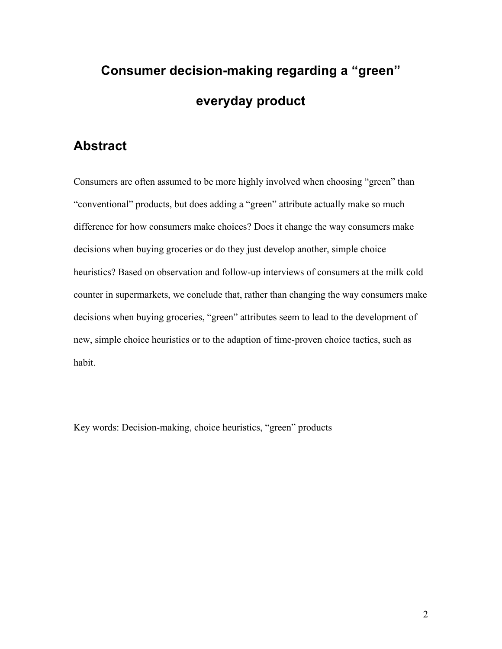# **Consumer decision-making regarding a "green" everyday product**

## **Abstract**

Consumers are often assumed to be more highly involved when choosing "green" than "conventional" products, but does adding a "green" attribute actually make so much difference for how consumers make choices? Does it change the way consumers make decisions when buying groceries or do they just develop another, simple choice heuristics? Based on observation and follow-up interviews of consumers at the milk cold counter in supermarkets, we conclude that, rather than changing the way consumers make decisions when buying groceries, "green" attributes seem to lead to the development of new, simple choice heuristics or to the adaption of time-proven choice tactics, such as habit.

Key words: Decision-making, choice heuristics, "green" products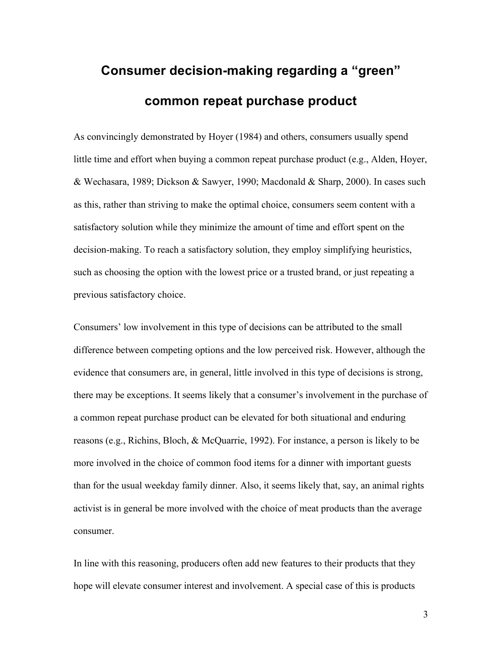# **Consumer decision-making regarding a "green" common repeat purchase product**

As convincingly demonstrated by Hoyer (1984) and others, consumers usually spend little time and effort when buying a common repeat purchase product (e.g., Alden, Hoyer, & Wechasara, 1989; Dickson & Sawyer, 1990; Macdonald & Sharp, 2000). In cases such as this, rather than striving to make the optimal choice, consumers seem content with a satisfactory solution while they minimize the amount of time and effort spent on the decision-making. To reach a satisfactory solution, they employ simplifying heuristics, such as choosing the option with the lowest price or a trusted brand, or just repeating a previous satisfactory choice.

Consumers' low involvement in this type of decisions can be attributed to the small difference between competing options and the low perceived risk. However, although the evidence that consumers are, in general, little involved in this type of decisions is strong, there may be exceptions. It seems likely that a consumer's involvement in the purchase of a common repeat purchase product can be elevated for both situational and enduring reasons (e.g., Richins, Bloch, & McQuarrie, 1992). For instance, a person is likely to be more involved in the choice of common food items for a dinner with important guests than for the usual weekday family dinner. Also, it seems likely that, say, an animal rights activist is in general be more involved with the choice of meat products than the average consumer.

In line with this reasoning, producers often add new features to their products that they hope will elevate consumer interest and involvement. A special case of this is products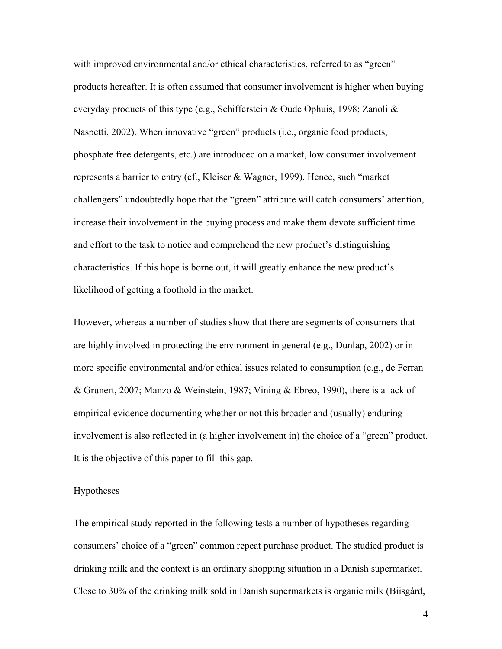with improved environmental and/or ethical characteristics, referred to as "green" products hereafter. It is often assumed that consumer involvement is higher when buying everyday products of this type (e.g., Schifferstein & Oude Ophuis, 1998; Zanoli & Naspetti, 2002). When innovative "green" products (i.e., organic food products, phosphate free detergents, etc.) are introduced on a market, low consumer involvement represents a barrier to entry (cf., Kleiser & Wagner, 1999). Hence, such "market challengers" undoubtedly hope that the "green" attribute will catch consumers' attention, increase their involvement in the buying process and make them devote sufficient time and effort to the task to notice and comprehend the new product's distinguishing characteristics. If this hope is borne out, it will greatly enhance the new product's likelihood of getting a foothold in the market.

However, whereas a number of studies show that there are segments of consumers that are highly involved in protecting the environment in general (e.g., Dunlap, 2002) or in more specific environmental and/or ethical issues related to consumption (e.g., de Ferran & Grunert, 2007; Manzo & Weinstein, 1987; Vining & Ebreo, 1990), there is a lack of empirical evidence documenting whether or not this broader and (usually) enduring involvement is also reflected in (a higher involvement in) the choice of a "green" product. It is the objective of this paper to fill this gap.

#### Hypotheses

The empirical study reported in the following tests a number of hypotheses regarding consumers' choice of a "green" common repeat purchase product. The studied product is drinking milk and the context is an ordinary shopping situation in a Danish supermarket. Close to 30% of the drinking milk sold in Danish supermarkets is organic milk (Biisgård,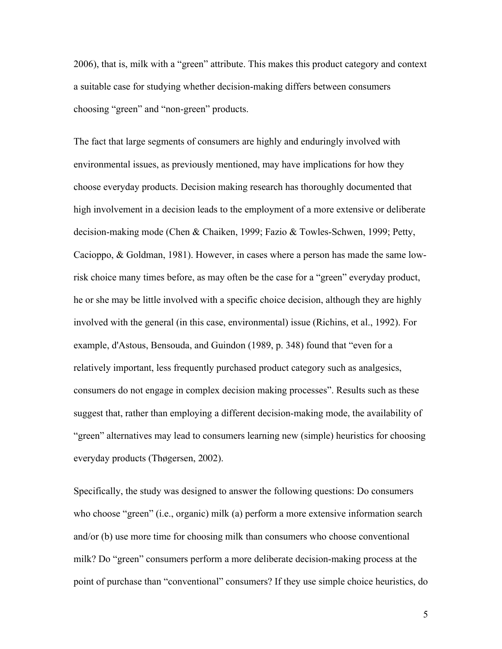2006), that is, milk with a "green" attribute. This makes this product category and context a suitable case for studying whether decision-making differs between consumers choosing "green" and "non-green" products.

The fact that large segments of consumers are highly and enduringly involved with environmental issues, as previously mentioned, may have implications for how they choose everyday products. Decision making research has thoroughly documented that high involvement in a decision leads to the employment of a more extensive or deliberate decision-making mode (Chen & Chaiken, 1999; Fazio & Towles-Schwen, 1999; Petty, Cacioppo, & Goldman, 1981). However, in cases where a person has made the same lowrisk choice many times before, as may often be the case for a "green" everyday product, he or she may be little involved with a specific choice decision, although they are highly involved with the general (in this case, environmental) issue (Richins, et al., 1992). For example, d'Astous, Bensouda, and Guindon (1989, p. 348) found that "even for a relatively important, less frequently purchased product category such as analgesics, consumers do not engage in complex decision making processes". Results such as these suggest that, rather than employing a different decision-making mode, the availability of "green" alternatives may lead to consumers learning new (simple) heuristics for choosing everyday products (Thøgersen, 2002).

Specifically, the study was designed to answer the following questions: Do consumers who choose "green" (i.e., organic) milk (a) perform a more extensive information search and/or (b) use more time for choosing milk than consumers who choose conventional milk? Do "green" consumers perform a more deliberate decision-making process at the point of purchase than "conventional" consumers? If they use simple choice heuristics, do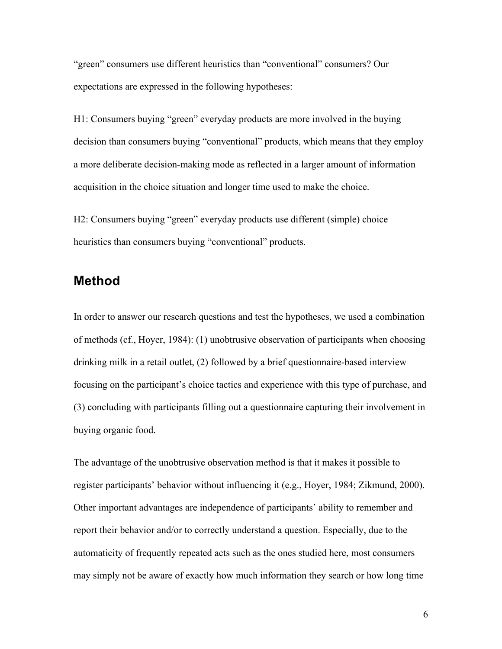"green" consumers use different heuristics than "conventional" consumers? Our expectations are expressed in the following hypotheses:

H1: Consumers buying "green" everyday products are more involved in the buying decision than consumers buying "conventional" products, which means that they employ a more deliberate decision-making mode as reflected in a larger amount of information acquisition in the choice situation and longer time used to make the choice.

H2: Consumers buying "green" everyday products use different (simple) choice heuristics than consumers buying "conventional" products.

## **Method**

In order to answer our research questions and test the hypotheses, we used a combination of methods (cf., Hoyer, 1984): (1) unobtrusive observation of participants when choosing drinking milk in a retail outlet, (2) followed by a brief questionnaire-based interview focusing on the participant's choice tactics and experience with this type of purchase, and (3) concluding with participants filling out a questionnaire capturing their involvement in buying organic food.

The advantage of the unobtrusive observation method is that it makes it possible to register participants' behavior without influencing it (e.g., Hoyer, 1984; Zikmund, 2000). Other important advantages are independence of participants' ability to remember and report their behavior and/or to correctly understand a question. Especially, due to the automaticity of frequently repeated acts such as the ones studied here, most consumers may simply not be aware of exactly how much information they search or how long time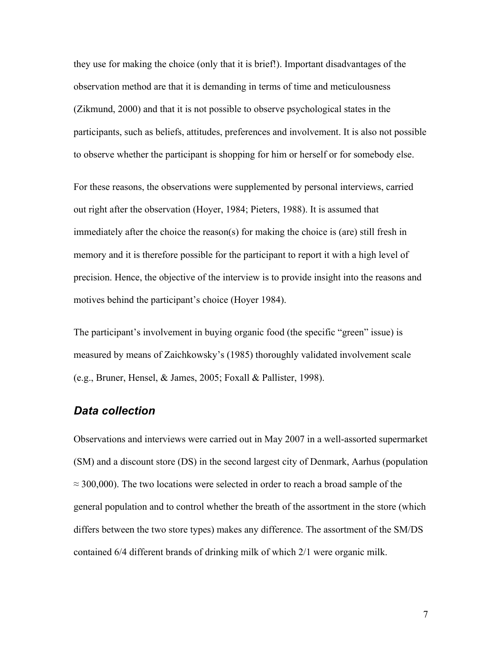they use for making the choice (only that it is brief!). Important disadvantages of the observation method are that it is demanding in terms of time and meticulousness (Zikmund, 2000) and that it is not possible to observe psychological states in the participants, such as beliefs, attitudes, preferences and involvement. It is also not possible to observe whether the participant is shopping for him or herself or for somebody else.

For these reasons, the observations were supplemented by personal interviews, carried out right after the observation (Hoyer, 1984; Pieters, 1988). It is assumed that immediately after the choice the reason(s) for making the choice is (are) still fresh in memory and it is therefore possible for the participant to report it with a high level of precision. Hence, the objective of the interview is to provide insight into the reasons and motives behind the participant's choice (Hoyer 1984).

The participant's involvement in buying organic food (the specific "green" issue) is measured by means of Zaichkowsky's (1985) thoroughly validated involvement scale (e.g., Bruner, Hensel, & James, 2005; Foxall & Pallister, 1998).

#### *Data collection*

Observations and interviews were carried out in May 2007 in a well-assorted supermarket (SM) and a discount store (DS) in the second largest city of Denmark, Aarhus (population  $\approx$  300,000). The two locations were selected in order to reach a broad sample of the general population and to control whether the breath of the assortment in the store (which differs between the two store types) makes any difference. The assortment of the SM/DS contained 6/4 different brands of drinking milk of which 2/1 were organic milk.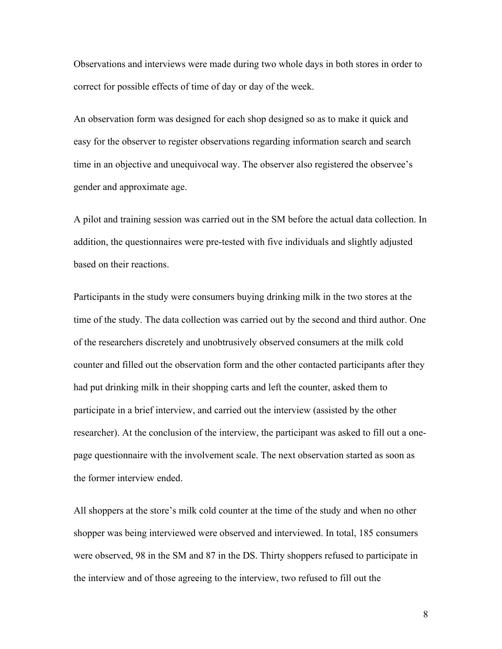Observations and interviews were made during two whole days in both stores in order to correct for possible effects of time of day or day of the week.

An observation form was designed for each shop designed so as to make it quick and easy for the observer to register observations regarding information search and search time in an objective and unequivocal way. The observer also registered the observee's gender and approximate age.

A pilot and training session was carried out in the SM before the actual data collection. In addition, the questionnaires were pre-tested with five individuals and slightly adjusted based on their reactions.

Participants in the study were consumers buying drinking milk in the two stores at the time of the study. The data collection was carried out by the second and third author. One of the researchers discretely and unobtrusively observed consumers at the milk cold counter and filled out the observation form and the other contacted participants after they had put drinking milk in their shopping carts and left the counter, asked them to participate in a brief interview, and carried out the interview (assisted by the other researcher). At the conclusion of the interview, the participant was asked to fill out a onepage questionnaire with the involvement scale. The next observation started as soon as the former interview ended.

All shoppers at the store's milk cold counter at the time of the study and when no other shopper was being interviewed were observed and interviewed. In total, 185 consumers were observed, 98 in the SM and 87 in the DS. Thirty shoppers refused to participate in the interview and of those agreeing to the interview, two refused to fill out the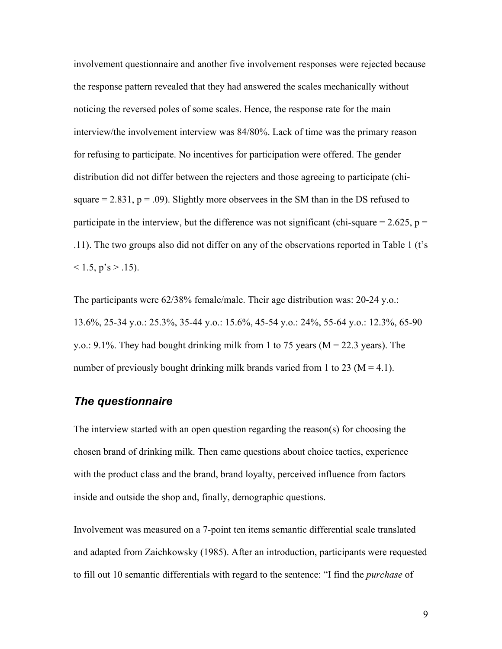involvement questionnaire and another five involvement responses were rejected because the response pattern revealed that they had answered the scales mechanically without noticing the reversed poles of some scales. Hence, the response rate for the main interview/the involvement interview was 84/80%. Lack of time was the primary reason for refusing to participate. No incentives for participation were offered. The gender distribution did not differ between the rejecters and those agreeing to participate (chisquare  $= 2.831$ ,  $p = .09$ ). Slightly more observees in the SM than in the DS refused to participate in the interview, but the difference was not significant (chi-square  $= 2.625$ , p  $=$ .11). The two groups also did not differ on any of the observations reported in Table 1 (t's  $< 1.5$ , p's  $> .15$ ).

The participants were 62/38% female/male. Their age distribution was: 20-24 y.o.: 13.6%, 25-34 y.o.: 25.3%, 35-44 y.o.: 15.6%, 45-54 y.o.: 24%, 55-64 y.o.: 12.3%, 65-90 y.o.: 9.1%. They had bought drinking milk from 1 to 75 years ( $M = 22.3$  years). The number of previously bought drinking milk brands varied from 1 to 23 ( $M = 4.1$ ).

#### *The questionnaire*

The interview started with an open question regarding the reason(s) for choosing the chosen brand of drinking milk. Then came questions about choice tactics, experience with the product class and the brand, brand loyalty, perceived influence from factors inside and outside the shop and, finally, demographic questions.

Involvement was measured on a 7-point ten items semantic differential scale translated and adapted from Zaichkowsky (1985). After an introduction, participants were requested to fill out 10 semantic differentials with regard to the sentence: "I find the *purchase* of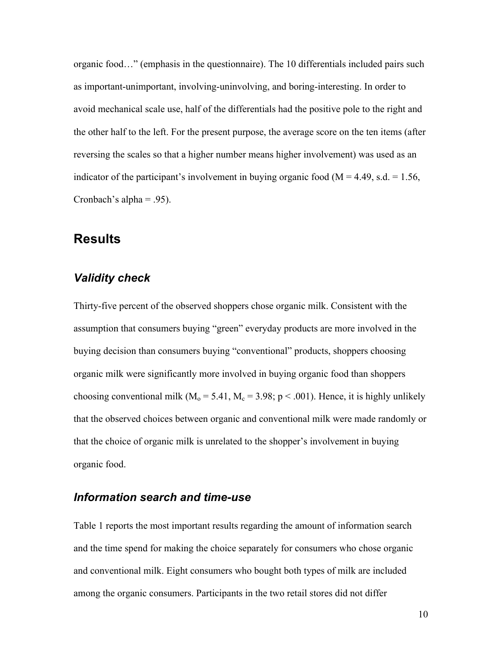organic food…" (emphasis in the questionnaire). The 10 differentials included pairs such as important-unimportant, involving-uninvolving, and boring-interesting. In order to avoid mechanical scale use, half of the differentials had the positive pole to the right and the other half to the left. For the present purpose, the average score on the ten items (after reversing the scales so that a higher number means higher involvement) was used as an indicator of the participant's involvement in buying organic food ( $M = 4.49$ , s.d. = 1.56, Cronbach's alpha  $= .95$ ).

## **Results**

### *Validity check*

Thirty-five percent of the observed shoppers chose organic milk. Consistent with the assumption that consumers buying "green" everyday products are more involved in the buying decision than consumers buying "conventional" products, shoppers choosing organic milk were significantly more involved in buying organic food than shoppers choosing conventional milk ( $M_0 = 5.41$ ,  $M_c = 3.98$ ; p < .001). Hence, it is highly unlikely that the observed choices between organic and conventional milk were made randomly or that the choice of organic milk is unrelated to the shopper's involvement in buying organic food.

#### *Information search and time-use*

Table 1 reports the most important results regarding the amount of information search and the time spend for making the choice separately for consumers who chose organic and conventional milk. Eight consumers who bought both types of milk are included among the organic consumers. Participants in the two retail stores did not differ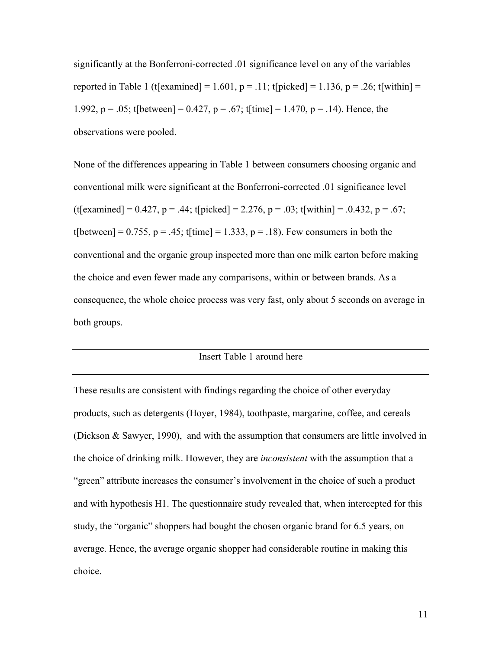significantly at the Bonferroni-corrected .01 significance level on any of the variables reported in Table 1 (t[examined] = 1.601,  $p = .11$ ; t[picked] = 1.136,  $p = .26$ ; t[within] = 1.992, p = .05; t[between] = 0.427, p = .67; t[time] = 1.470, p = .14). Hence, the observations were pooled.

None of the differences appearing in Table 1 between consumers choosing organic and conventional milk were significant at the Bonferroni-corrected .01 significance level  $(t[examined] = 0.427, p = .44; t[picked] = 2.276, p = .03; t[within] = .0.432, p = .67;$ t[between] =  $0.755$ , p = .45; t[time] = 1.333, p = .18). Few consumers in both the conventional and the organic group inspected more than one milk carton before making the choice and even fewer made any comparisons, within or between brands. As a consequence, the whole choice process was very fast, only about 5 seconds on average in both groups.

#### Insert Table 1 around here

These results are consistent with findings regarding the choice of other everyday products, such as detergents (Hoyer, 1984), toothpaste, margarine, coffee, and cereals (Dickson & Sawyer, 1990), and with the assumption that consumers are little involved in the choice of drinking milk. However, they are *inconsistent* with the assumption that a "green" attribute increases the consumer's involvement in the choice of such a product and with hypothesis H1. The questionnaire study revealed that, when intercepted for this study, the "organic" shoppers had bought the chosen organic brand for 6.5 years, on average. Hence, the average organic shopper had considerable routine in making this choice.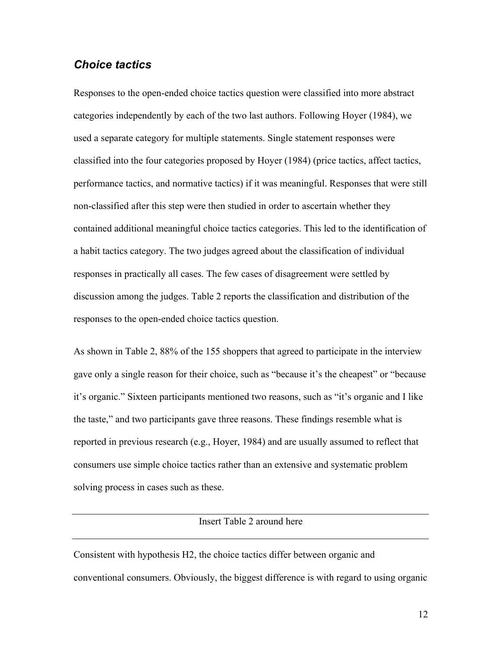#### *Choice tactics*

Responses to the open-ended choice tactics question were classified into more abstract categories independently by each of the two last authors. Following Hoyer (1984), we used a separate category for multiple statements. Single statement responses were classified into the four categories proposed by Hoyer (1984) (price tactics, affect tactics, performance tactics, and normative tactics) if it was meaningful. Responses that were still non-classified after this step were then studied in order to ascertain whether they contained additional meaningful choice tactics categories. This led to the identification of a habit tactics category. The two judges agreed about the classification of individual responses in practically all cases. The few cases of disagreement were settled by discussion among the judges. Table 2 reports the classification and distribution of the responses to the open-ended choice tactics question.

As shown in Table 2, 88% of the 155 shoppers that agreed to participate in the interview gave only a single reason for their choice, such as "because it's the cheapest" or "because it's organic." Sixteen participants mentioned two reasons, such as "it's organic and I like the taste," and two participants gave three reasons. These findings resemble what is reported in previous research (e.g., Hoyer, 1984) and are usually assumed to reflect that consumers use simple choice tactics rather than an extensive and systematic problem solving process in cases such as these.

## Insert Table 2 around here

Consistent with hypothesis H2, the choice tactics differ between organic and conventional consumers. Obviously, the biggest difference is with regard to using organic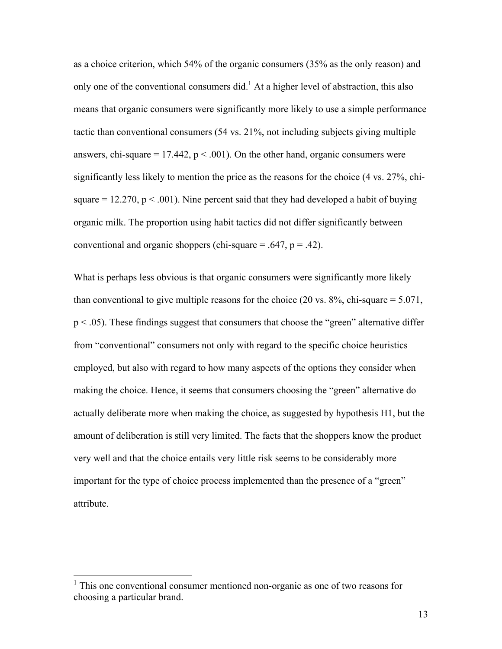as a choice criterion, which 54% of the organic consumers (35% as the only reason) and only one of the conventional consumers did.<sup>1</sup> At a higher level of abstraction, this also means that organic consumers were significantly more likely to use a simple performance tactic than conventional consumers (54 vs. 21%, not including subjects giving multiple answers, chi-square =  $17.442$ ,  $p < .001$ ). On the other hand, organic consumers were significantly less likely to mention the price as the reasons for the choice (4 vs. 27%, chisquare  $= 12.270$ ,  $p < .001$ ). Nine percent said that they had developed a habit of buying organic milk. The proportion using habit tactics did not differ significantly between conventional and organic shoppers (chi-square  $= .647$ ,  $p = .42$ ).

What is perhaps less obvious is that organic consumers were significantly more likely than conventional to give multiple reasons for the choice (20 vs.  $8\%$ , chi-square = 5.071,  $p < .05$ ). These findings suggest that consumers that choose the "green" alternative differ from "conventional" consumers not only with regard to the specific choice heuristics employed, but also with regard to how many aspects of the options they consider when making the choice. Hence, it seems that consumers choosing the "green" alternative do actually deliberate more when making the choice, as suggested by hypothesis H1, but the amount of deliberation is still very limited. The facts that the shoppers know the product very well and that the choice entails very little risk seems to be considerably more important for the type of choice process implemented than the presence of a "green" attribute.

<sup>&</sup>lt;sup>1</sup> This one conventional consumer mentioned non-organic as one of two reasons for choosing a particular brand.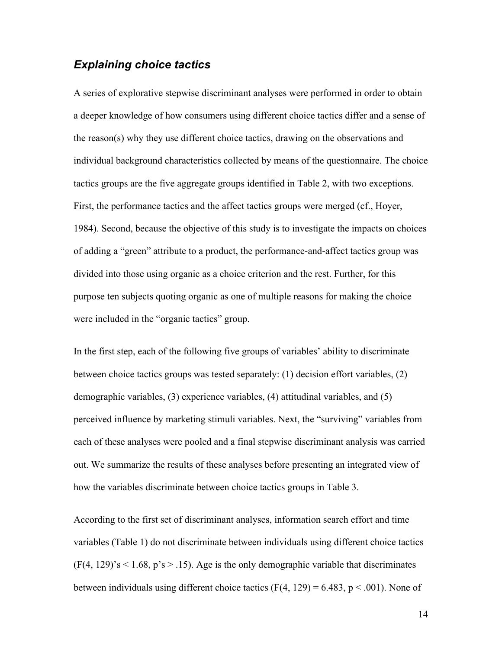### *Explaining choice tactics*

A series of explorative stepwise discriminant analyses were performed in order to obtain a deeper knowledge of how consumers using different choice tactics differ and a sense of the reason(s) why they use different choice tactics, drawing on the observations and individual background characteristics collected by means of the questionnaire. The choice tactics groups are the five aggregate groups identified in Table 2, with two exceptions. First, the performance tactics and the affect tactics groups were merged (cf., Hoyer, 1984). Second, because the objective of this study is to investigate the impacts on choices of adding a "green" attribute to a product, the performance-and-affect tactics group was divided into those using organic as a choice criterion and the rest. Further, for this purpose ten subjects quoting organic as one of multiple reasons for making the choice were included in the "organic tactics" group.

In the first step, each of the following five groups of variables' ability to discriminate between choice tactics groups was tested separately: (1) decision effort variables, (2) demographic variables, (3) experience variables, (4) attitudinal variables, and (5) perceived influence by marketing stimuli variables. Next, the "surviving" variables from each of these analyses were pooled and a final stepwise discriminant analysis was carried out. We summarize the results of these analyses before presenting an integrated view of how the variables discriminate between choice tactics groups in Table 3.

According to the first set of discriminant analyses, information search effort and time variables (Table 1) do not discriminate between individuals using different choice tactics  $(F(4, 129)$ 's < 1.68, p's > .15). Age is the only demographic variable that discriminates between individuals using different choice tactics  $(F(4, 129) = 6.483, p < .001)$ . None of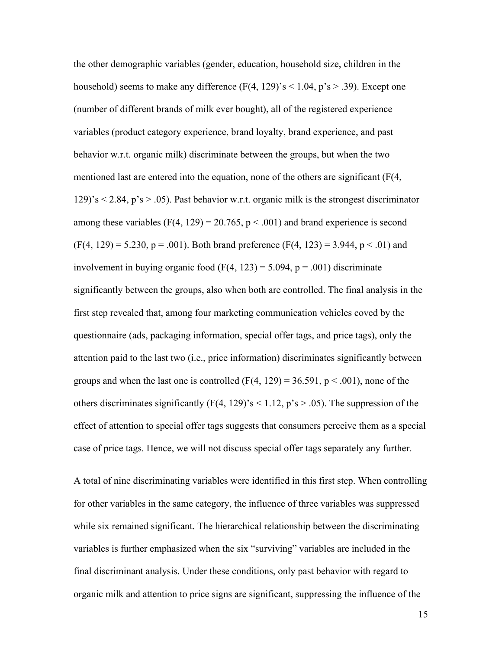the other demographic variables (gender, education, household size, children in the household) seems to make any difference  $(F(4, 129)$ 's  $\leq 1.04$ , p's  $> .39$ ). Except one (number of different brands of milk ever bought), all of the registered experience variables (product category experience, brand loyalty, brand experience, and past behavior w.r.t. organic milk) discriminate between the groups, but when the two mentioned last are entered into the equation, none of the others are significant (F(4,  $129$ 's < 2.84, p's > .05). Past behavior w.r.t. organic milk is the strongest discriminator among these variables (F(4, 129) = 20.765,  $p < .001$ ) and brand experience is second  $(F(4, 129) = 5.230, p = .001)$ . Both brand preference  $(F(4, 123) = 3.944, p < .01)$  and involvement in buying organic food  $(F(4, 123) = 5.094, p = .001)$  discriminate significantly between the groups, also when both are controlled. The final analysis in the first step revealed that, among four marketing communication vehicles coved by the questionnaire (ads, packaging information, special offer tags, and price tags), only the attention paid to the last two (i.e., price information) discriminates significantly between groups and when the last one is controlled  $(F(4, 129) = 36.591, p < .001)$ , none of the others discriminates significantly (F(4, 129)'s  $\leq$  1.12, p's  $>$  0.05). The suppression of the effect of attention to special offer tags suggests that consumers perceive them as a special case of price tags. Hence, we will not discuss special offer tags separately any further.

A total of nine discriminating variables were identified in this first step. When controlling for other variables in the same category, the influence of three variables was suppressed while six remained significant. The hierarchical relationship between the discriminating variables is further emphasized when the six "surviving" variables are included in the final discriminant analysis. Under these conditions, only past behavior with regard to organic milk and attention to price signs are significant, suppressing the influence of the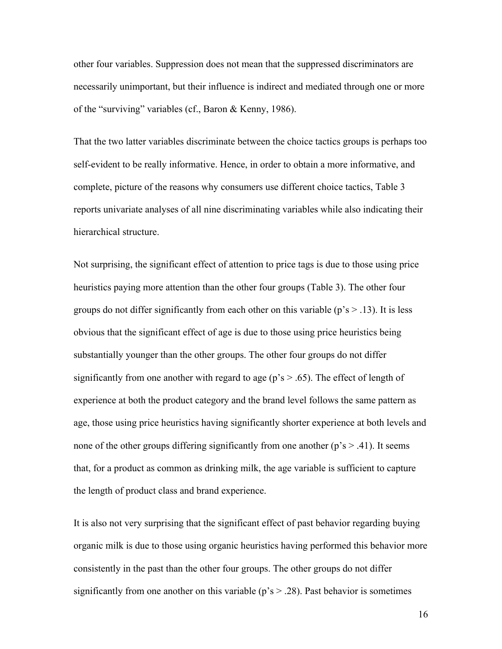other four variables. Suppression does not mean that the suppressed discriminators are necessarily unimportant, but their influence is indirect and mediated through one or more of the "surviving" variables (cf., Baron & Kenny, 1986).

That the two latter variables discriminate between the choice tactics groups is perhaps too self-evident to be really informative. Hence, in order to obtain a more informative, and complete, picture of the reasons why consumers use different choice tactics, Table 3 reports univariate analyses of all nine discriminating variables while also indicating their hierarchical structure.

Not surprising, the significant effect of attention to price tags is due to those using price heuristics paying more attention than the other four groups (Table 3). The other four groups do not differ significantly from each other on this variable ( $p's > .13$ ). It is less obvious that the significant effect of age is due to those using price heuristics being substantially younger than the other groups. The other four groups do not differ significantly from one another with regard to age ( $p's > .65$ ). The effect of length of experience at both the product category and the brand level follows the same pattern as age, those using price heuristics having significantly shorter experience at both levels and none of the other groups differing significantly from one another ( $p's > .41$ ). It seems that, for a product as common as drinking milk, the age variable is sufficient to capture the length of product class and brand experience.

It is also not very surprising that the significant effect of past behavior regarding buying organic milk is due to those using organic heuristics having performed this behavior more consistently in the past than the other four groups. The other groups do not differ significantly from one another on this variable ( $p's > .28$ ). Past behavior is sometimes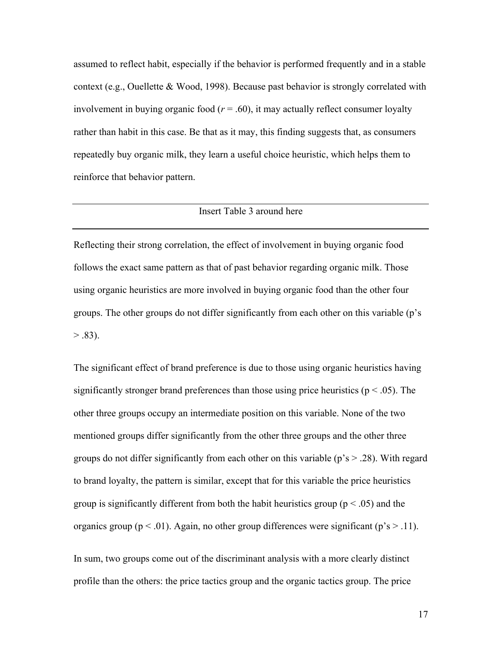assumed to reflect habit, especially if the behavior is performed frequently and in a stable context (e.g., Ouellette & Wood, 1998). Because past behavior is strongly correlated with involvement in buying organic food  $(r = .60)$ , it may actually reflect consumer loyalty rather than habit in this case. Be that as it may, this finding suggests that, as consumers repeatedly buy organic milk, they learn a useful choice heuristic, which helps them to reinforce that behavior pattern.

#### Insert Table 3 around here

Reflecting their strong correlation, the effect of involvement in buying organic food follows the exact same pattern as that of past behavior regarding organic milk. Those using organic heuristics are more involved in buying organic food than the other four groups. The other groups do not differ significantly from each other on this variable (p's  $> .83$ ).

The significant effect of brand preference is due to those using organic heuristics having significantly stronger brand preferences than those using price heuristics ( $p < .05$ ). The other three groups occupy an intermediate position on this variable. None of the two mentioned groups differ significantly from the other three groups and the other three groups do not differ significantly from each other on this variable ( $p's > .28$ ). With regard to brand loyalty, the pattern is similar, except that for this variable the price heuristics group is significantly different from both the habit heuristics group ( $p < .05$ ) and the organics group ( $p < 0.01$ ). Again, no other group differences were significant ( $p's > 0.11$ ).

In sum, two groups come out of the discriminant analysis with a more clearly distinct profile than the others: the price tactics group and the organic tactics group. The price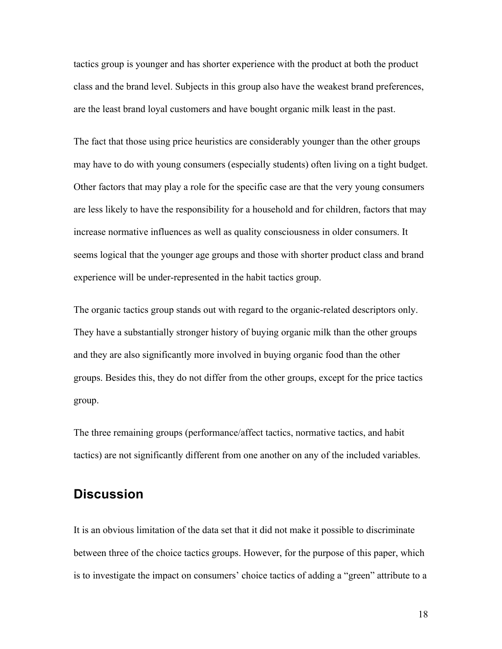tactics group is younger and has shorter experience with the product at both the product class and the brand level. Subjects in this group also have the weakest brand preferences, are the least brand loyal customers and have bought organic milk least in the past.

The fact that those using price heuristics are considerably younger than the other groups may have to do with young consumers (especially students) often living on a tight budget. Other factors that may play a role for the specific case are that the very young consumers are less likely to have the responsibility for a household and for children, factors that may increase normative influences as well as quality consciousness in older consumers. It seems logical that the younger age groups and those with shorter product class and brand experience will be under-represented in the habit tactics group.

The organic tactics group stands out with regard to the organic-related descriptors only. They have a substantially stronger history of buying organic milk than the other groups and they are also significantly more involved in buying organic food than the other groups. Besides this, they do not differ from the other groups, except for the price tactics group.

The three remaining groups (performance/affect tactics, normative tactics, and habit tactics) are not significantly different from one another on any of the included variables.

## **Discussion**

It is an obvious limitation of the data set that it did not make it possible to discriminate between three of the choice tactics groups. However, for the purpose of this paper, which is to investigate the impact on consumers' choice tactics of adding a "green" attribute to a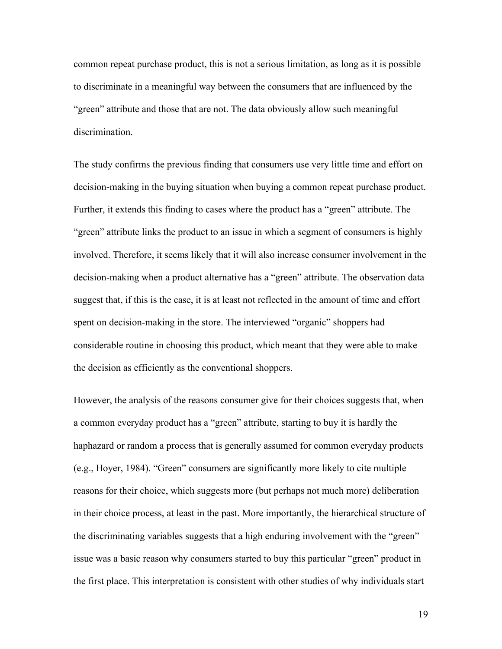common repeat purchase product, this is not a serious limitation, as long as it is possible to discriminate in a meaningful way between the consumers that are influenced by the "green" attribute and those that are not. The data obviously allow such meaningful discrimination.

The study confirms the previous finding that consumers use very little time and effort on decision-making in the buying situation when buying a common repeat purchase product. Further, it extends this finding to cases where the product has a "green" attribute. The "green" attribute links the product to an issue in which a segment of consumers is highly involved. Therefore, it seems likely that it will also increase consumer involvement in the decision-making when a product alternative has a "green" attribute. The observation data suggest that, if this is the case, it is at least not reflected in the amount of time and effort spent on decision-making in the store. The interviewed "organic" shoppers had considerable routine in choosing this product, which meant that they were able to make the decision as efficiently as the conventional shoppers.

However, the analysis of the reasons consumer give for their choices suggests that, when a common everyday product has a "green" attribute, starting to buy it is hardly the haphazard or random a process that is generally assumed for common everyday products (e.g., Hoyer, 1984). "Green" consumers are significantly more likely to cite multiple reasons for their choice, which suggests more (but perhaps not much more) deliberation in their choice process, at least in the past. More importantly, the hierarchical structure of the discriminating variables suggests that a high enduring involvement with the "green" issue was a basic reason why consumers started to buy this particular "green" product in the first place. This interpretation is consistent with other studies of why individuals start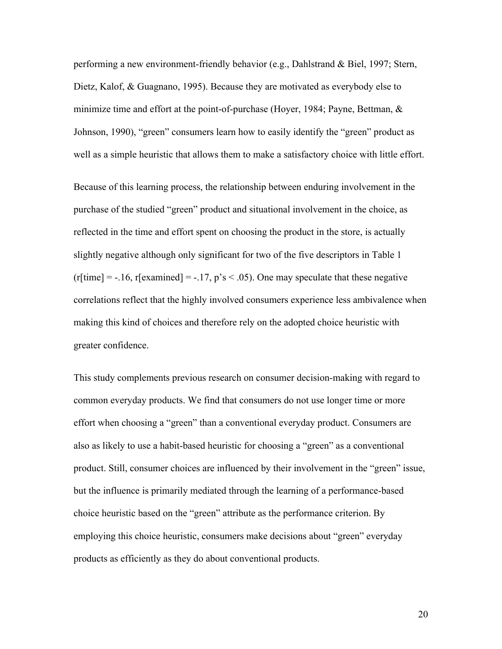performing a new environment-friendly behavior (e.g., Dahlstrand & Biel, 1997; Stern, Dietz, Kalof, & Guagnano, 1995). Because they are motivated as everybody else to minimize time and effort at the point-of-purchase (Hoyer, 1984; Payne, Bettman,  $\&$ Johnson, 1990), "green" consumers learn how to easily identify the "green" product as well as a simple heuristic that allows them to make a satisfactory choice with little effort.

Because of this learning process, the relationship between enduring involvement in the purchase of the studied "green" product and situational involvement in the choice, as reflected in the time and effort spent on choosing the product in the store, is actually slightly negative although only significant for two of the five descriptors in Table 1  $(r[time] = -.16, r[examined] = -.17, p's < .05)$ . One may speculate that these negative correlations reflect that the highly involved consumers experience less ambivalence when making this kind of choices and therefore rely on the adopted choice heuristic with greater confidence.

This study complements previous research on consumer decision-making with regard to common everyday products. We find that consumers do not use longer time or more effort when choosing a "green" than a conventional everyday product. Consumers are also as likely to use a habit-based heuristic for choosing a "green" as a conventional product. Still, consumer choices are influenced by their involvement in the "green" issue, but the influence is primarily mediated through the learning of a performance-based choice heuristic based on the "green" attribute as the performance criterion. By employing this choice heuristic, consumers make decisions about "green" everyday products as efficiently as they do about conventional products.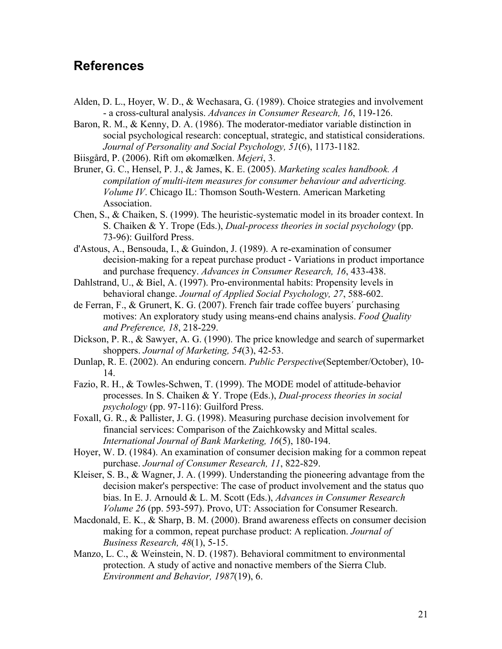## **References**

- Alden, D. L., Hoyer, W. D., & Wechasara, G. (1989). Choice strategies and involvement - a cross-cultural analysis. *Advances in Consumer Research, 16*, 119-126.
- Baron, R. M., & Kenny, D. A. (1986). The moderator-mediator variable distinction in social psychological research: conceptual, strategic, and statistical considerations. *Journal of Personality and Social Psychology, 51*(6), 1173-1182.

Biisgård, P. (2006). Rift om økomælken. *Mejeri*, 3.

- Bruner, G. C., Hensel, P. J., & James, K. E. (2005). *Marketing scales handbook. A compilation of multi-item measures for consumer behaviour and adverticing. Volume IV*. Chicago IL: Thomson South-Western. American Marketing Association.
- Chen, S., & Chaiken, S. (1999). The heuristic-systematic model in its broader context. In S. Chaiken & Y. Trope (Eds.), *Dual-process theories in social psychology* (pp. 73-96): Guilford Press.
- d'Astous, A., Bensouda, I., & Guindon, J. (1989). A re-examination of consumer decision-making for a repeat purchase product - Variations in product importance and purchase frequency. *Advances in Consumer Research, 16*, 433-438.
- Dahlstrand, U., & Biel, A. (1997). Pro-environmental habits: Propensity levels in behavioral change. *Journal of Applied Social Psychology, 27*, 588-602.
- de Ferran, F., & Grunert, K. G. (2007). French fair trade coffee buyers´ purchasing motives: An exploratory study using means-end chains analysis. *Food Quality and Preference, 18*, 218-229.
- Dickson, P. R., & Sawyer, A. G. (1990). The price knowledge and search of supermarket shoppers. *Journal of Marketing, 54*(3), 42-53.
- Dunlap, R. E. (2002). An enduring concern. *Public Perspective*(September/October), 10- 14.
- Fazio, R. H., & Towles-Schwen, T. (1999). The MODE model of attitude-behavior processes. In S. Chaiken & Y. Trope (Eds.), *Dual-process theories in social psychology* (pp. 97-116): Guilford Press.
- Foxall, G. R., & Pallister, J. G. (1998). Measuring purchase decision involvement for financial services: Comparison of the Zaichkowsky and Mittal scales. *International Journal of Bank Marketing, 16*(5), 180-194.
- Hoyer, W. D. (1984). An examination of consumer decision making for a common repeat purchase. *Journal of Consumer Research, 11*, 822-829.
- Kleiser, S. B., & Wagner, J. A. (1999). Understanding the pioneering advantage from the decision maker's perspective: The case of product involvement and the status quo bias. In E. J. Arnould & L. M. Scott (Eds.), *Advances in Consumer Research Volume 26* (pp. 593-597). Provo, UT: Association for Consumer Research.
- Macdonald, E. K., & Sharp, B. M. (2000). Brand awareness effects on consumer decision making for a common, repeat purchase product: A replication. *Journal of Business Research, 48*(1), 5-15.
- Manzo, L. C., & Weinstein, N. D. (1987). Behavioral commitment to environmental protection. A study of active and nonactive members of the Sierra Club. *Environment and Behavior, 1987*(19), 6.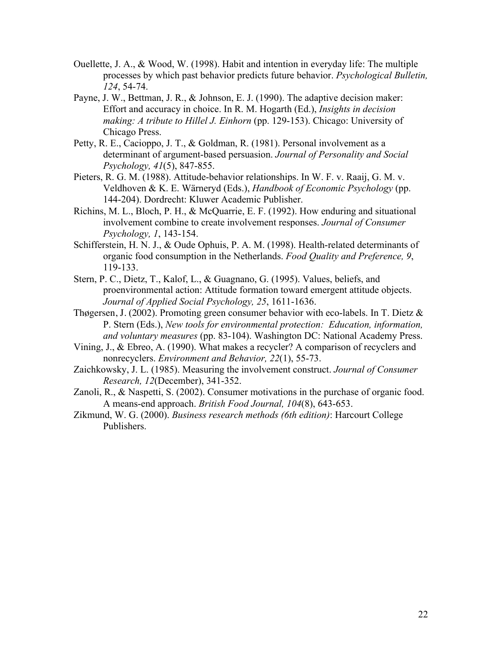- Ouellette, J. A., & Wood, W. (1998). Habit and intention in everyday life: The multiple processes by which past behavior predicts future behavior. *Psychological Bulletin, 124*, 54-74.
- Payne, J. W., Bettman, J. R., & Johnson, E. J. (1990). The adaptive decision maker: Effort and accuracy in choice. In R. M. Hogarth (Ed.), *Insights in decision making: A tribute to Hillel J. Einhorn* (pp. 129-153). Chicago: University of Chicago Press.
- Petty, R. E., Cacioppo, J. T., & Goldman, R. (1981). Personal involvement as a determinant of argument-based persuasion. *Journal of Personality and Social Psychology, 41*(5), 847-855.
- Pieters, R. G. M. (1988). Attitude-behavior relationships. In W. F. v. Raaij, G. M. v. Veldhoven & K. E. Wärneryd (Eds.), *Handbook of Economic Psychology* (pp. 144-204). Dordrecht: Kluwer Academic Publisher.
- Richins, M. L., Bloch, P. H., & McQuarrie, E. F. (1992). How enduring and situational involvement combine to create involvement responses. *Journal of Consumer Psychology, 1*, 143-154.
- Schifferstein, H. N. J., & Oude Ophuis, P. A. M. (1998). Health-related determinants of organic food consumption in the Netherlands. *Food Quality and Preference, 9*, 119-133.
- Stern, P. C., Dietz, T., Kalof, L., & Guagnano, G. (1995). Values, beliefs, and proenvironmental action: Attitude formation toward emergent attitude objects. *Journal of Applied Social Psychology, 25*, 1611-1636.
- Thøgersen, J. (2002). Promoting green consumer behavior with eco-labels. In T. Dietz & P. Stern (Eds.), *New tools for environmental protection: Education, information, and voluntary measures* (pp. 83-104). Washington DC: National Academy Press.
- Vining, J., & Ebreo, A. (1990). What makes a recycler? A comparison of recyclers and nonrecyclers. *Environment and Behavior, 22*(1), 55-73.
- Zaichkowsky, J. L. (1985). Measuring the involvement construct. *Journal of Consumer Research, 12*(December), 341-352.
- Zanoli, R., & Naspetti, S. (2002). Consumer motivations in the purchase of organic food. A means-end approach. *British Food Journal, 104*(8), 643-653.
- Zikmund, W. G. (2000). *Business research methods (6th edition)*: Harcourt College Publishers.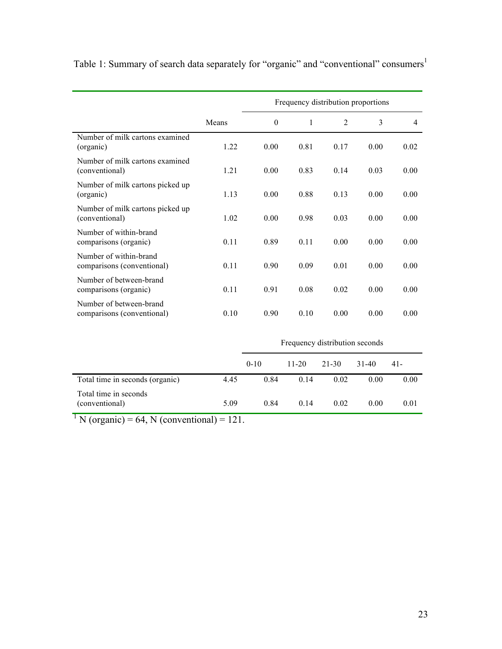|                                                       |       | Frequency distribution proportions |           |                |           |        |
|-------------------------------------------------------|-------|------------------------------------|-----------|----------------|-----------|--------|
|                                                       | Means | $\mathbf{0}$                       | 1         | $\overline{2}$ | 3         | 4      |
| Number of milk cartons examined<br>(organic)          | 1.22  | 0.00                               | 0.81      | 0.17           | 0.00      | 0.02   |
| Number of milk cartons examined<br>(conventional)     | 1.21  | 0.00                               | 0.83      | 0.14           | 0.03      | 0.00   |
| Number of milk cartons picked up<br>(organic)         | 1.13  | 0.00                               | 0.88      | 0.13           | 0.00      | 0.00   |
| Number of milk cartons picked up<br>(conventional)    | 1.02  | 0.00                               | 0.98      | 0.03           | 0.00      | 0.00   |
| Number of within-brand<br>comparisons (organic)       | 0.11  | 0.89                               | 0.11      | 0.00           | 0.00      | 0.00   |
| Number of within-brand<br>comparisons (conventional)  | 0.11  | 0.90                               | 0.09      | 0.01           | 0.00      | 0.00   |
| Number of between-brand<br>comparisons (organic)      | 0.11  | 0.91                               | 0.08      | 0.02           | 0.00      | 0.00   |
| Number of between-brand<br>comparisons (conventional) | 0.10  | 0.90                               | 0.10      | 0.00           | 0.00      | 0.00   |
|                                                       |       | Frequency distribution seconds     |           |                |           |        |
|                                                       |       | $0 - 10$                           | $11 - 20$ | $21 - 30$      | $31 - 40$ | $41 -$ |
| Total time in seconds (organic)                       | 4.45  | 0.84                               | 0.14      | 0.02           | 0.00      | 0.00   |

(conventional) 5.09 0.84 0.14 0.02 0.00 0.01

Table 1: Summary of search data separately for "organic" and "conventional" consumers<sup>1</sup>

 $1 \text{ N (organic)} = 64, \text{ N (conventional)} = 121.$ 

Total time in seconds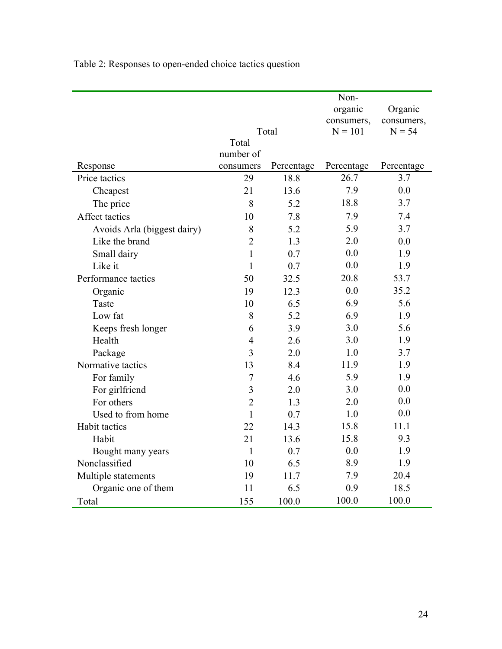|                             |                |            | Non-       |            |  |
|-----------------------------|----------------|------------|------------|------------|--|
|                             |                |            | organic    | Organic    |  |
|                             |                |            | consumers, | consumers, |  |
|                             |                | Total      | $N = 101$  | $N = 54$   |  |
|                             | Total          |            |            |            |  |
|                             | number of      |            |            |            |  |
| Response                    | consumers      | Percentage | Percentage | Percentage |  |
| Price tactics               | 29             | 18.8       | 26.7       | 3.7        |  |
| Cheapest                    | 21             | 13.6       | 7.9        | 0.0        |  |
| The price                   | 8              | 5.2        | 18.8       | 3.7        |  |
| Affect tactics              | 10             | 7.8        | 7.9        | 7.4        |  |
| Avoids Arla (biggest dairy) | 8              | 5.2        | 5.9        | 3.7        |  |
| Like the brand              | $\overline{2}$ | 1.3        | 2.0        | 0.0        |  |
| Small dairy                 | 1              | 0.7        | 0.0        | 1.9        |  |
| Like it                     | $\mathbf{1}$   | 0.7        | 0.0        | 1.9        |  |
| Performance tactics         | 50             | 32.5       | 20.8       | 53.7       |  |
| Organic                     | 19             | 12.3       | 0.0        | 35.2       |  |
| Taste                       | 10             | 6.5        | 6.9        | 5.6        |  |
| Low fat                     | 8              | 5.2        | 6.9        | 1.9        |  |
| Keeps fresh longer          | 6              | 3.9        | 3.0        | 5.6        |  |
| Health                      | $\overline{4}$ | 2.6        | 3.0        | 1.9        |  |
| Package                     | 3              | 2.0        | 1.0        | 3.7        |  |
| Normative tactics           | 13             | 8.4        | 11.9       | 1.9        |  |
| For family                  | $\overline{7}$ | 4.6        | 5.9        | 1.9        |  |
| For girlfriend              | 3              | 2.0        | 3.0        | 0.0        |  |
| For others                  | $\overline{2}$ | 1.3        | 2.0        | 0.0        |  |
| Used to from home           | $\mathbf{1}$   | 0.7        | 1.0        | 0.0        |  |
| Habit tactics               | 22             | 14.3       | 15.8       | 11.1       |  |
| Habit                       | 21             | 13.6       | 15.8       | 9.3        |  |
| Bought many years           | $\mathbf{1}$   | 0.7        | 0.0        | 1.9        |  |
| Nonclassified               | 10             | 6.5        | 8.9        | 1.9        |  |
| Multiple statements         | 19             | 11.7       | 7.9        | 20.4       |  |
| Organic one of them         | 11             | 6.5        | 0.9        | 18.5       |  |
| Total                       | 155            | 100.0      | 100.0      | 100.0      |  |

Table 2: Responses to open-ended choice tactics question